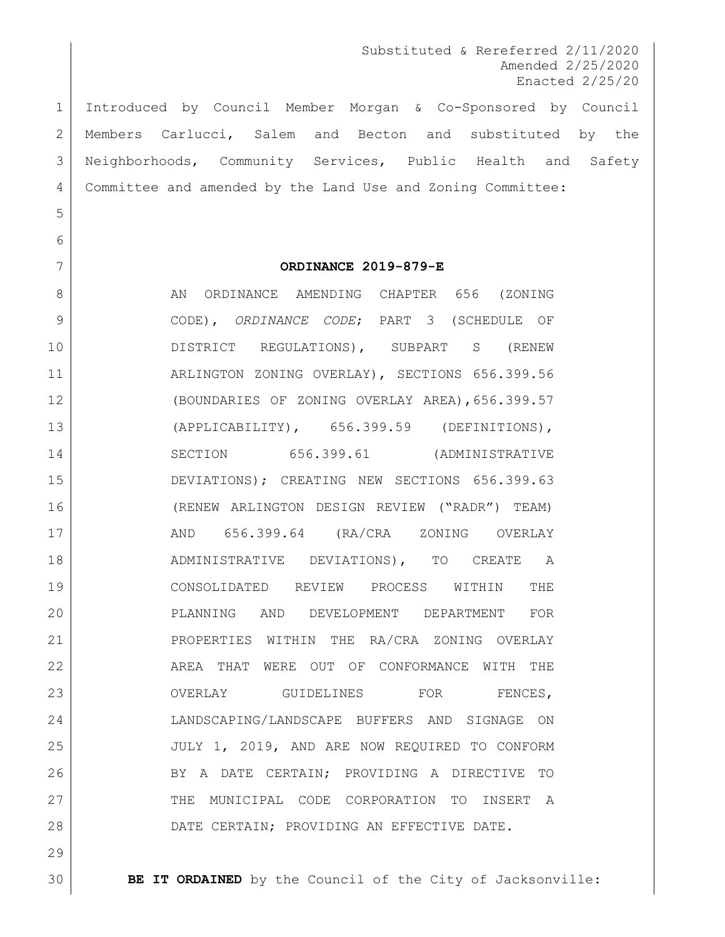Substituted & Rereferred 2/11/2020 Amended 2/25/2020 Enacted 2/25/20

 Introduced by Council Member Morgan & Co-Sponsored by Council Members Carlucci, Salem and Becton and substituted by the Neighborhoods, Community Services, Public Health and Safety Committee and amended by the Land Use and Zoning Committee:

### 

### **ORDINANCE 2019-879-E**

8 AN ORDINANCE AMENDING CHAPTER 656 (ZONING CODE), *ORDINANCE CODE*; PART 3 (SCHEDULE OF DISTRICT REGULATIONS), SUBPART S (RENEW ARLINGTON ZONING OVERLAY), SECTIONS 656.399.56 (BOUNDARIES OF ZONING OVERLAY AREA),656.399.57 (APPLICABILITY), 656.399.59 (DEFINITIONS), 14 SECTION 656.399.61 (ADMINISTRATIVE DEVIATIONS); CREATING NEW SECTIONS 656.399.63 (RENEW ARLINGTON DESIGN REVIEW ("RADR") TEAM) AND 656.399.64 (RA/CRA ZONING OVERLAY 18 | ADMINISTRATIVE DEVIATIONS), TO CREATE A CONSOLIDATED REVIEW PROCESS WITHIN THE PLANNING AND DEVELOPMENT DEPARTMENT FOR PROPERTIES WITHIN THE RA/CRA ZONING OVERLAY AREA THAT WERE OUT OF CONFORMANCE WITH THE 23 OVERLAY GUIDELINES FOR FENCES. LANDSCAPING/LANDSCAPE BUFFERS AND SIGNAGE ON JULY 1, 2019, AND ARE NOW REQUIRED TO CONFORM 26 BY A DATE CERTAIN; PROVIDING A DIRECTIVE TO 27 THE MUNICIPAL CODE CORPORATION TO INSERT A DATE CERTAIN; PROVIDING AN EFFECTIVE DATE.

**BE IT ORDAINED** by the Council of the City of Jacksonville: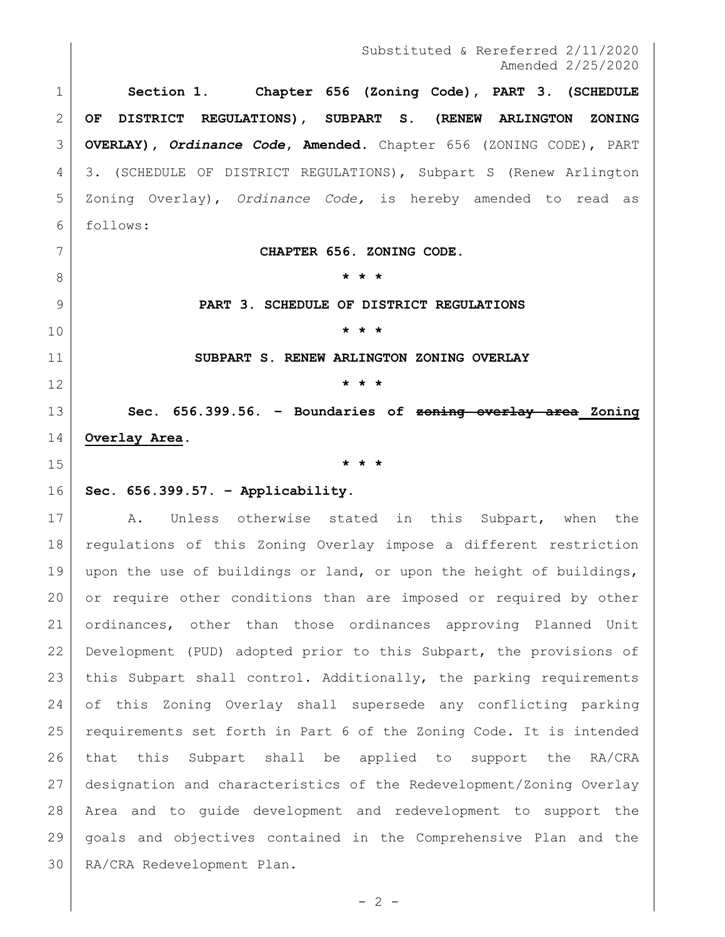**Section 1. Chapter 656 (Zoning Code), PART 3. (SCHEDULE OF DISTRICT REGULATIONS), SUBPART S. (RENEW ARLINGTON ZONING OVERLAY),** *Ordinance Code***, Amended.** Chapter 656 (ZONING CODE), PART 3. (SCHEDULE OF DISTRICT REGULATIONS), Subpart S (Renew Arlington Zoning Overlay), *Ordinance Code,* is hereby amended to read as follows:

**CHAPTER 656. ZONING CODE.**

**\* \* \***

**PART 3. SCHEDULE OF DISTRICT REGULATIONS**

**\* \* \***

**SUBPART S. RENEW ARLINGTON ZONING OVERLAY**

**\* \* \***

 **Sec. 656.399.56. – Boundaries of zoning overlay area Zoning Overlay Area.**

**\* \* \***

**Sec. 656.399.57. – Applicability.**

17 | A. Unless otherwise stated in this Subpart, when the regulations of this Zoning Overlay impose a different restriction 19 | upon the use of buildings or land, or upon the height of buildings, or require other conditions than are imposed or required by other ordinances, other than those ordinances approving Planned Unit Development (PUD) adopted prior to this Subpart, the provisions of this Subpart shall control. Additionally, the parking requirements of this Zoning Overlay shall supersede any conflicting parking requirements set forth in Part 6 of the Zoning Code. It is intended that this Subpart shall be applied to support the RA/CRA designation and characteristics of the Redevelopment/Zoning Overlay Area and to guide development and redevelopment to support the goals and objectives contained in the Comprehensive Plan and the RA/CRA Redevelopment Plan.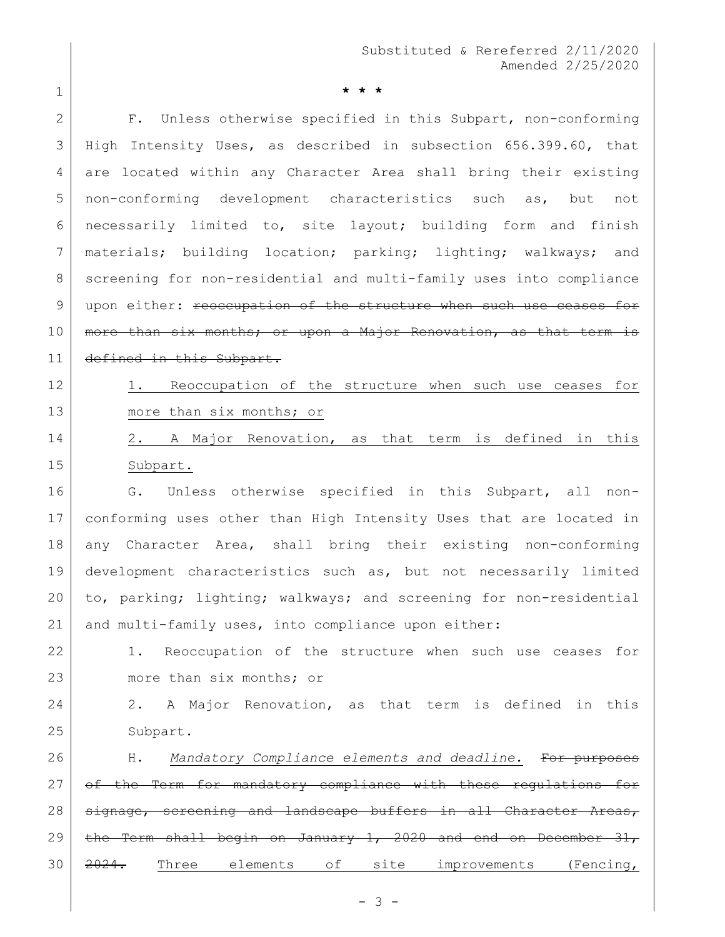1 **\* \* \***

2 F. Unless otherwise specified in this Subpart, non-conforming 3 High Intensity Uses, as described in subsection 656.399.60, that 4 are located within any Character Area shall bring their existing 5 non-conforming development characteristics such as, but not 6 necessarily limited to, site layout; building form and finish 7 | materials; building location; parking; lighting; walkways; and 8 screening for non-residential and multi-family uses into compliance 9 | upon either: reoccupation of the structure when such use ceases for 10 | more than six months; or upon a Major Renovation, as that term is 11 defined in this Subpart.

- 12 1. Reoccupation of the structure when such use ceases for 13 more than six months; or
- 14 2. A Major Renovation, as that term is defined in this 15 Subpart.

16 G. Unless otherwise specified in this Subpart, all non- conforming uses other than High Intensity Uses that are located in any Character Area, shall bring their existing non-conforming development characteristics such as, but not necessarily limited to, parking; lighting; walkways; and screening for non-residential and multi-family uses, into compliance upon either:

22 1. Reoccupation of the structure when such use ceases for 23 more than six months; or

24 2. A Major Renovation, as that term is defined in this 25 Subpart.

26 H. *Mandatory Compliance elements and deadline.* For purposes 27 of the Term for mandatory compliance with these regulations for 28 signage, screening and landscape buffers in all Character Areas, 29 | the Term shall begin on January 1, 2020 and end on December 31, 30 2024. Three elements of site improvements (Fencing,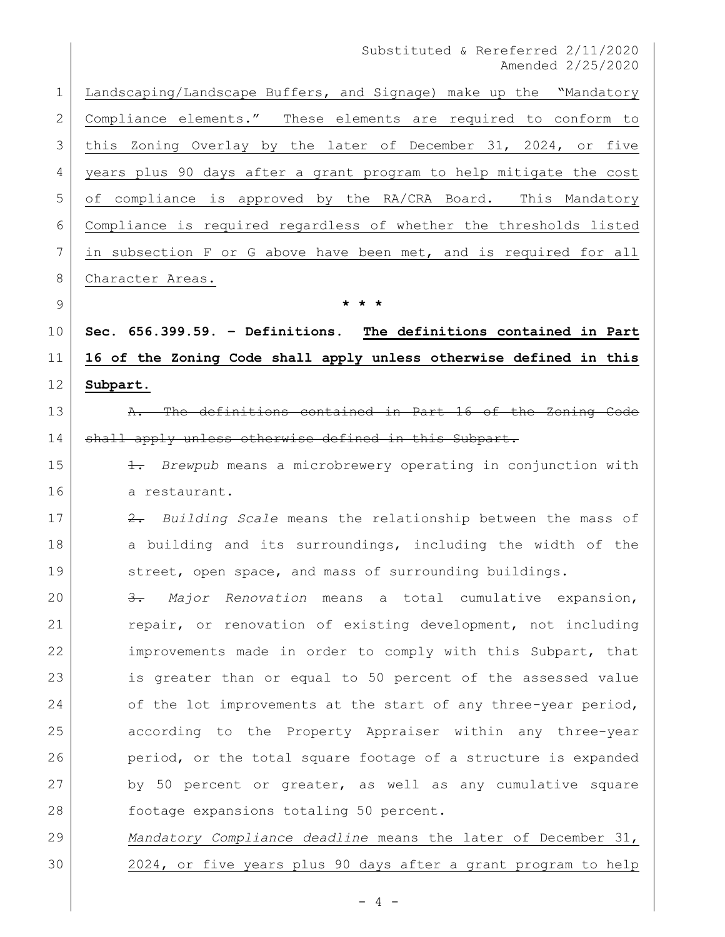Landscaping/Landscape Buffers, and Signage) make up the "Mandatory Compliance elements." These elements are required to conform to this Zoning Overlay by the later of December 31, 2024, or five years plus 90 days after a grant program to help mitigate the cost of compliance is approved by the RA/CRA Board. This Mandatory Compliance is required regardless of whether the thresholds listed in subsection F or G above have been met, and is required for all 8 Character Areas. **\* \* \* Sec. 656.399.59. – Definitions. The definitions contained in Part 16 of the Zoning Code shall apply unless otherwise defined in this Subpart.** 13 A. The definitions contained in Part 16 of the Zoning Code

14 shall apply unless otherwise defined in this Subpart.

 1. *Brewpub* means a microbrewery operating in conjunction with 16 a restaurant.

 2. *Building Scale* means the relationship between the mass of 18 a building and its surroundings, including the width of the 19 Street, open space, and mass of surrounding buildings.

 3. *Major Renovation* means a total cumulative expansion, 21 repair, or renovation of existing development, not including improvements made in order to comply with this Subpart, that is greater than or equal to 50 percent of the assessed value 24 of the lot improvements at the start of any three-year period, according to the Property Appraiser within any three-year 26 period, or the total square footage of a structure is expanded by 50 percent or greater, as well as any cumulative square footage expansions totaling 50 percent.

 *Mandatory Compliance deadline* means the later of December 31, 2024, or five years plus 90 days after a grant program to help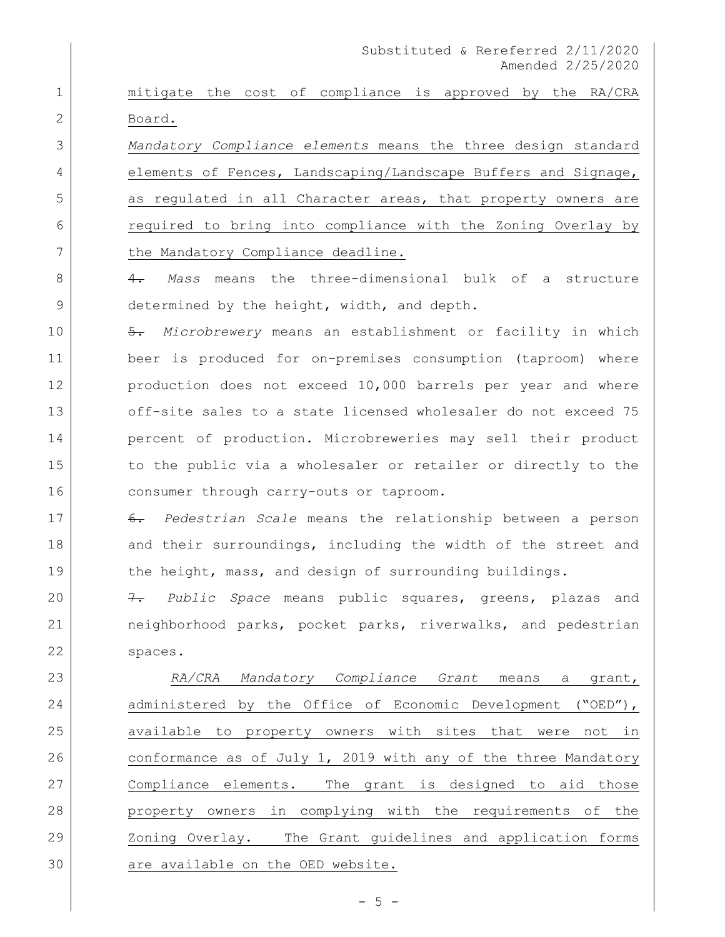1 mitigate the cost of compliance is approved by the RA/CRA 2 Board.

3 *Mandatory Compliance elements* means the three design standard 4 elements of Fences, Landscaping/Landscape Buffers and Signage, 5 as regulated in all Character areas, that property owners are 6 required to bring into compliance with the Zoning Overlay by 7 the Mandatory Compliance deadline.

8 4. *Mass* means the three-dimensional bulk of a structure 9 determined by the height, width, and depth.

10 5. *Microbrewery* means an establishment or facility in which 11 beer is produced for on-premises consumption (taproom) where 12 production does not exceed 10,000 barrels per year and where 13 off-site sales to a state licensed wholesaler do not exceed 75 14 percent of production. Microbreweries may sell their product 15 to the public via a wholesaler or retailer or directly to the 16 consumer through carry-outs or taproom.

17 6. *Pedestrian Scale* means the relationship between a person 18 and their surroundings, including the width of the street and 19 the height, mass, and design of surrounding buildings.

20 7. *Public Space* means public squares, greens, plazas and 21 neighborhood parks, pocket parks, riverwalks, and pedestrian 22 spaces.

 *RA/CRA Mandatory Compliance Grant* means a grant, 24 administered by the Office of Economic Development ("OED"), available to property owners with sites that were not in conformance as of July 1, 2019 with any of the three Mandatory Compliance elements. The grant is designed to aid those property owners in complying with the requirements of the Zoning Overlay. The Grant guidelines and application forms 30 are available on the OED website.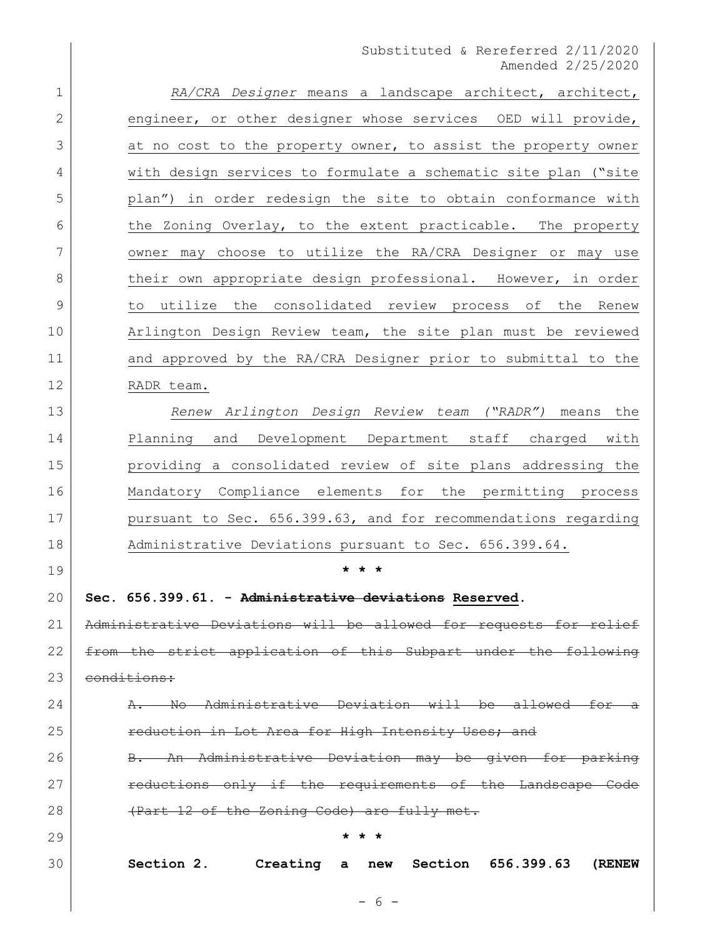| $\mathbf 1$  | RA/CRA Designer means a landscape architect, architect,           |  |  |  |  |
|--------------|-------------------------------------------------------------------|--|--|--|--|
| $\mathbf{2}$ | engineer, or other designer whose services OED will provide,      |  |  |  |  |
| 3            | at no cost to the property owner, to assist the property owner    |  |  |  |  |
| 4            | with design services to formulate a schematic site plan ("site    |  |  |  |  |
| 5            | plan") in order redesign the site to obtain conformance with      |  |  |  |  |
| 6            | the Zoning Overlay, to the extent practicable. The property       |  |  |  |  |
| 7            | owner may choose to utilize the RA/CRA Designer or may use        |  |  |  |  |
| 8            | their own appropriate design professional. However, in order      |  |  |  |  |
| 9            | to utilize the consolidated review process of the Renew           |  |  |  |  |
| 10           | Arlington Design Review team, the site plan must be reviewed      |  |  |  |  |
| 11           | and approved by the RA/CRA Designer prior to submittal to the     |  |  |  |  |
| 12           | RADR team.                                                        |  |  |  |  |
| 13           | Renew Arlington Design Review team ("RADR") means the             |  |  |  |  |
| 14           | Development Department staff charged with<br>Planning<br>and      |  |  |  |  |
| 15           | providing a consolidated review of site plans addressing the      |  |  |  |  |
| 16           | Mandatory Compliance elements for the permitting process          |  |  |  |  |
| 17           | pursuant to Sec. 656.399.63, and for recommendations regarding    |  |  |  |  |
| 18           | Administrative Deviations pursuant to Sec. 656.399.64.            |  |  |  |  |
| 19           |                                                                   |  |  |  |  |
| 20           | Sec. 656.399.61. - Administrative deviations Reserved.            |  |  |  |  |
| 21           | Administrative Deviations will be allowed for requests for relief |  |  |  |  |
| 22           | from the strict application of this Subpart under the following   |  |  |  |  |
| 23           | conditions:                                                       |  |  |  |  |
| 24           | No Administrative Deviation will be allowed for a                 |  |  |  |  |
| 25           | reduction in Lot Area for High Intensity Uses; and                |  |  |  |  |
| 26           | B. An Administrative Deviation may be given for parking           |  |  |  |  |
| 27           | reductions only if the requirements of the Landscape Code         |  |  |  |  |
| 28           | (Part 12 of the Zoning Code) are fully met.                       |  |  |  |  |
| 29           | * * *                                                             |  |  |  |  |
| 30           | Section 2.<br>Creating a new<br>Section 656.399.63<br>(RENEW      |  |  |  |  |
|              | - 6 -                                                             |  |  |  |  |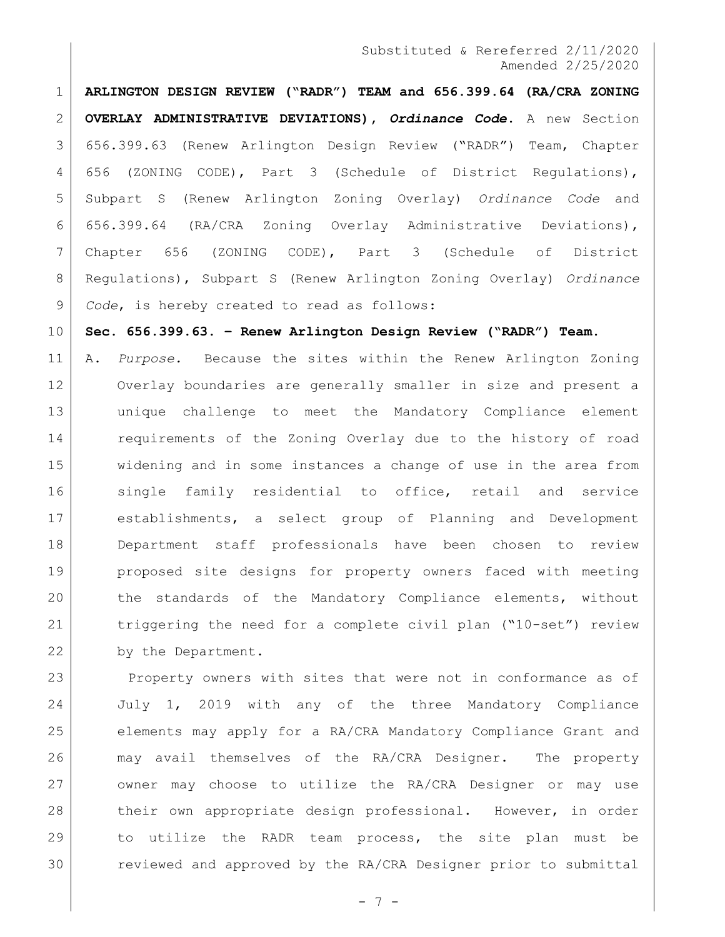**ARLINGTON DESIGN REVIEW ("RADR") TEAM and 656.399.64 (RA/CRA ZONING OVERLAY ADMINISTRATIVE DEVIATIONS),** *Ordinance Code***.** A new Section 656.399.63 (Renew Arlington Design Review ("RADR") Team, Chapter 656 (ZONING CODE), Part 3 (Schedule of District Regulations), Subpart S (Renew Arlington Zoning Overlay) *Ordinance Code* and 656.399.64 (RA/CRA Zoning Overlay Administrative Deviations), Chapter 656 (ZONING CODE), Part 3 (Schedule of District Regulations), Subpart S (Renew Arlington Zoning Overlay) *Ordinance Code*, is hereby created to read as follows:

**Sec. 656.399.63. – Renew Arlington Design Review ("RADR") Team.**

 A. *Purpose.* Because the sites within the Renew Arlington Zoning Overlay boundaries are generally smaller in size and present a unique challenge to meet the Mandatory Compliance element 14 requirements of the Zoning Overlay due to the history of road widening and in some instances a change of use in the area from 16 single family residential to office, retail and service establishments, a select group of Planning and Development Department staff professionals have been chosen to review proposed site designs for property owners faced with meeting 20 the standards of the Mandatory Compliance elements, without triggering the need for a complete civil plan ("10-set") review 22 by the Department.

23 Property owners with sites that were not in conformance as of July 1, 2019 with any of the three Mandatory Compliance elements may apply for a RA/CRA Mandatory Compliance Grant and may avail themselves of the RA/CRA Designer. The property owner may choose to utilize the RA/CRA Designer or may use 28 their own appropriate design professional. However, in order to utilize the RADR team process, the site plan must be 30 reviewed and approved by the RA/CRA Designer prior to submittal

- 7 -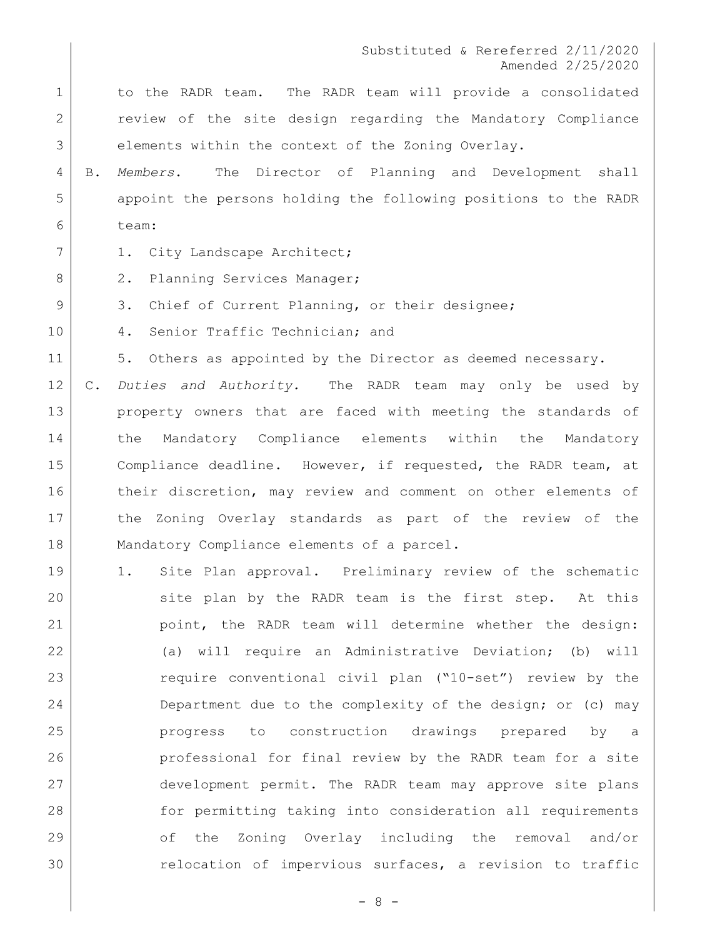1 to the RADR team. The RADR team will provide a consolidated 2 review of the site design regarding the Mandatory Compliance 3 elements within the context of the Zoning Overlay.

4 B. *Members*. The Director of Planning and Development shall 5 appoint the persons holding the following positions to the RADR 6 team:

- 7 | 1. City Landscape Architect;
- 8 2. Planning Services Manager;
- 9 3. Chief of Current Planning, or their designee;
- 10 4. Senior Traffic Technician; and

11 5. Others as appointed by the Director as deemed necessary.

12 C. *Duties and Authority.* The RADR team may only be used by 13 property owners that are faced with meeting the standards of 14 the Mandatory Compliance elements within the Mandatory 15 Compliance deadline. However, if requested, the RADR team, at 16 their discretion, may review and comment on other elements of 17 the Zoning Overlay standards as part of the review of the 18 | Mandatory Compliance elements of a parcel.

 1. Site Plan approval. Preliminary review of the schematic 20 site plan by the RADR team is the first step. At this point, the RADR team will determine whether the design: (a) will require an Administrative Deviation; (b) will require conventional civil plan ("10-set") review by the 24 Department due to the complexity of the design; or (c) may progress to construction drawings prepared by a professional for final review by the RADR team for a site development permit. The RADR team may approve site plans for permitting taking into consideration all requirements of the Zoning Overlay including the removal and/or relocation of impervious surfaces, a revision to traffic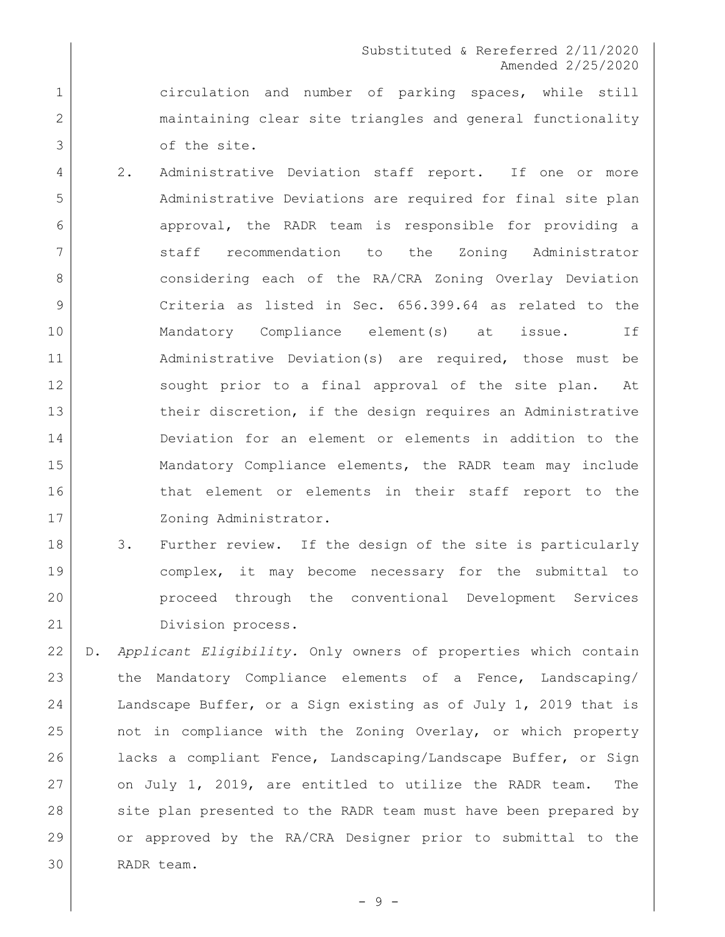1 circulation and number of parking spaces, while still 2 maintaining clear site triangles and general functionality 3 of the site.

- 4 2. Administrative Deviation staff report. If one or more 5 Administrative Deviations are required for final site plan 6 approval, the RADR team is responsible for providing a 7 Staff recommendation to the Zoning Administrator 8 considering each of the RA/CRA Zoning Overlay Deviation 9 Criteria as listed in Sec. 656.399.64 as related to the 10 | Mandatory Compliance element(s) at issue. If 11 Administrative Deviation(s) are required, those must be 12 sought prior to a final approval of the site plan. At 13 b their discretion, if the design requires an Administrative 14 Deviation for an element or elements in addition to the 15 Mandatory Compliance elements, the RADR team may include 16 16 that element or elements in their staff report to the 17 | Zoning Administrator.
- 18 3. Further review. If the design of the site is particularly 19 complex, it may become necessary for the submittal to 20 proceed through the conventional Development Services 21 Division process.
- 22 D. *Applicant Eligibility.* Only owners of properties which contain 23 the Mandatory Compliance elements of a Fence, Landscaping/ 24 Landscape Buffer, or a Sign existing as of July 1, 2019 that is 25 not in compliance with the Zoning Overlay, or which property 26 lacks a compliant Fence, Landscaping/Landscape Buffer, or Sign 27 on July 1, 2019, are entitled to utilize the RADR team. The 28 site plan presented to the RADR team must have been prepared by 29 or approved by the RA/CRA Designer prior to submittal to the 30 RADR team.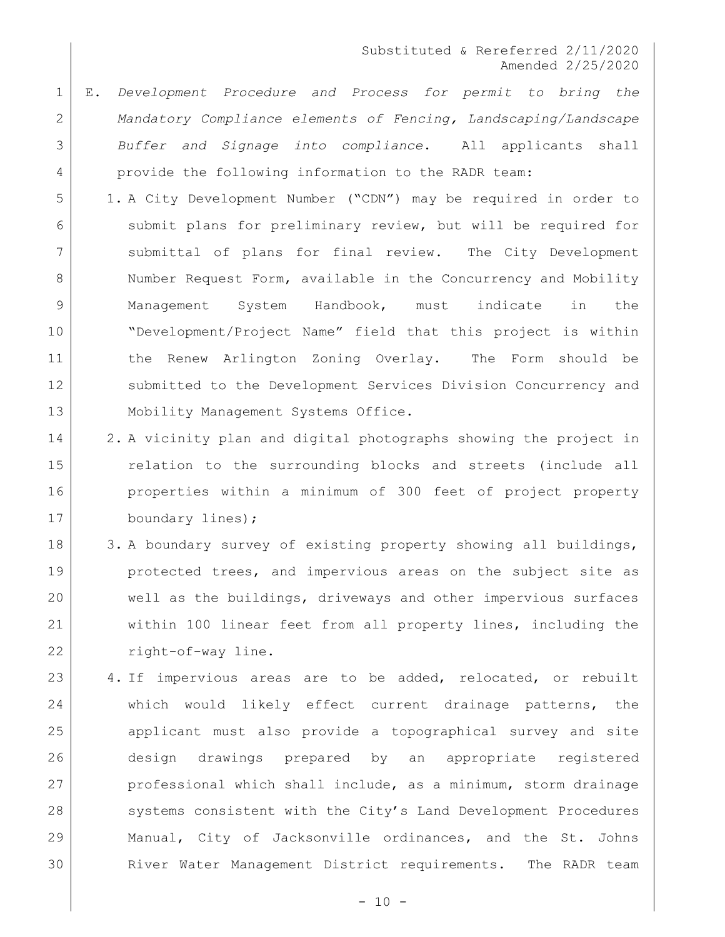- 1 E. *Development Procedure and Process for permit to bring the*  2 *Mandatory Compliance elements of Fencing, Landscaping/Landscape*  3 *Buffer and Signage into compliance*. All applicants shall 4 provide the following information to the RADR team:
- 5 1. A City Development Number ("CDN") may be required in order to 6 submit plans for preliminary review, but will be required for 7 Submittal of plans for final review. The City Development 8 Number Request Form, available in the Concurrency and Mobility 9 Management System Handbook, must indicate in the 10 "Development/Project Name" field that this project is within 11 the Renew Arlington Zoning Overlay. The Form should be 12 Submitted to the Development Services Division Concurrency and 13 | Mobility Management Systems Office.
- 14 2. A vicinity plan and digital photographs showing the project in 15 calation to the surrounding blocks and streets (include all 16 **properties within a minimum of 300 feet of project property** 17 boundary lines);
- 18 3. A boundary survey of existing property showing all buildings, 19 protected trees, and impervious areas on the subject site as 20 well as the buildings, driveways and other impervious surfaces 21 within 100 linear feet from all property lines, including the 22 right-of-way line.
- 23 4. If impervious areas are to be added, relocated, or rebuilt 24 which would likely effect current drainage patterns, the 25 applicant must also provide a topographical survey and site 26 design drawings prepared by an appropriate registered 27 professional which shall include, as a minimum, storm drainage 28 systems consistent with the City's Land Development Procedures 29 Manual, City of Jacksonville ordinances, and the St. Johns 30 River Water Management District requirements. The RADR team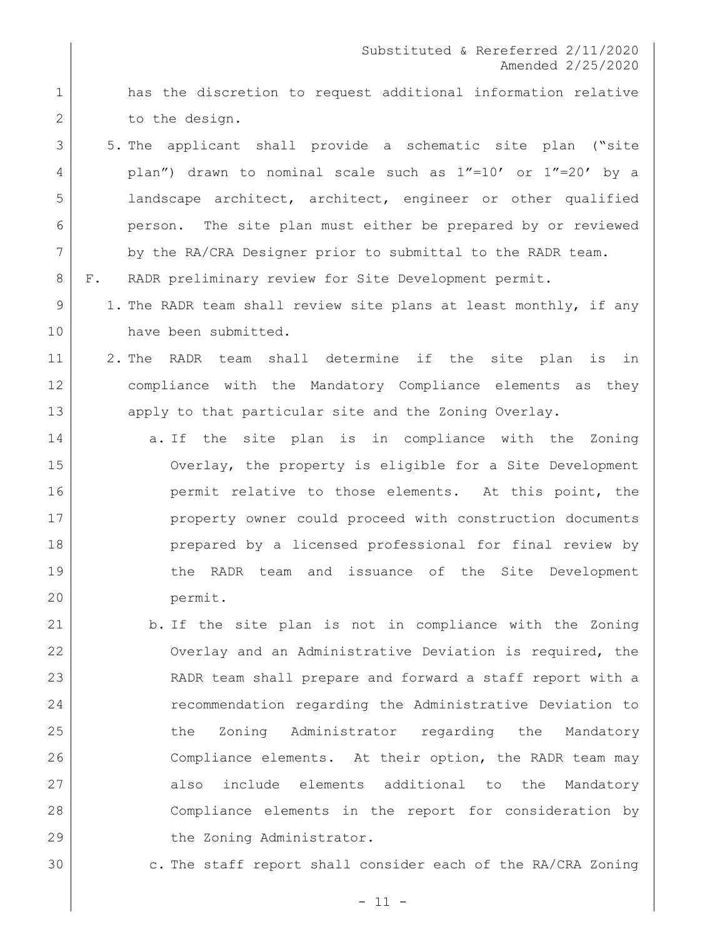- 1 has the discretion to request additional information relative 2 to the design.
- 5. The applicant shall provide a schematic site plan ("site plan") drawn to nominal scale such as 1"=10' or 1"=20' by a landscape architect, architect, engineer or other qualified person. The site plan must either be prepared by or reviewed 7 by the RA/CRA Designer prior to submittal to the RADR team.
- F. RADR preliminary review for Site Development permit.
- 9 1. The RADR team shall review site plans at least monthly, if any 10 have been submitted.
- 2. The RADR team shall determine if the site plan is in compliance with the Mandatory Compliance elements as they 13 apply to that particular site and the Zoning Overlay.
- 14 a. If the site plan is in compliance with the Zoning Overlay, the property is eligible for a Site Development **permit relative to those elements.** At this point, the property owner could proceed with construction documents prepared by a licensed professional for final review by the RADR team and issuance of the Site Development permit.
- b. If the site plan is not in compliance with the Zoning Overlay and an Administrative Deviation is required, the RADR team shall prepare and forward a staff report with a recommendation regarding the Administrative Deviation to 25 the Zoning Administrator regarding the Mandatory Compliance elements. At their option, the RADR team may 27 also include elements additional to the Mandatory Compliance elements in the report for consideration by 29 the Zoning Administrator.
- c. The staff report shall consider each of the RA/CRA Zoning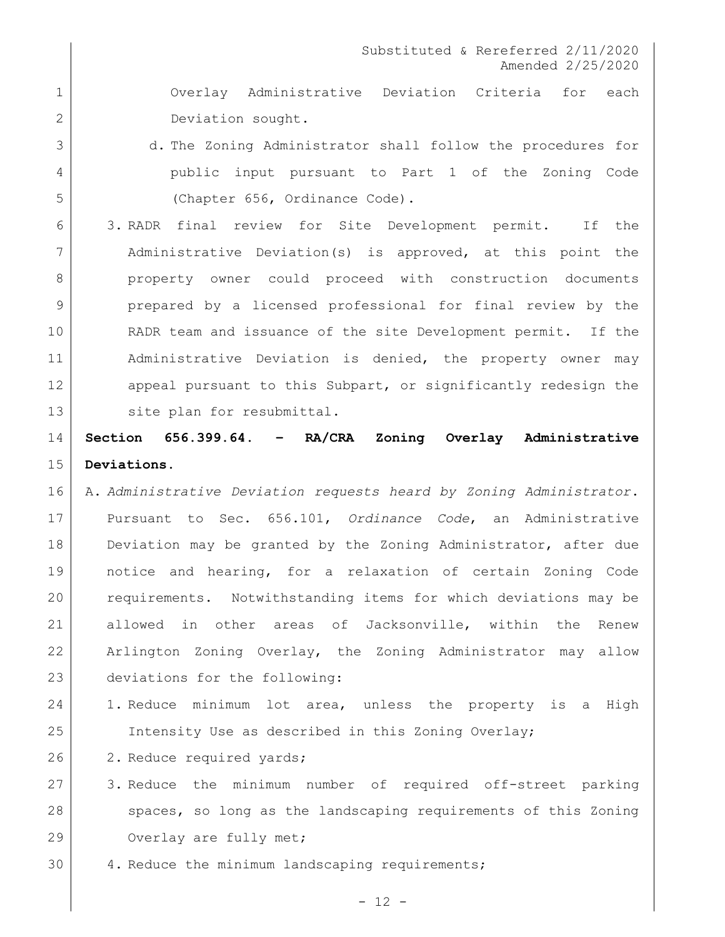Overlay Administrative Deviation Criteria for each 2 Deviation sought.

- 3 d. The Zoning Administrator shall follow the procedures for public input pursuant to Part 1 of the Zoning Code (Chapter 656, Ordinance Code).
- 3. RADR final review for Site Development permit. If the Administrative Deviation(s) is approved, at this point the 8 | property owner could proceed with construction documents prepared by a licensed professional for final review by the RADR team and issuance of the site Development permit. If the Administrative Deviation is denied, the property owner may 12 appeal pursuant to this Subpart, or significantly redesign the 13 site plan for resubmittal.

## **Section 656.399.64. – RA/CRA Zoning Overlay Administrative Deviations.**

- A. *Administrative Deviation requests heard by Zoning Administrator*. Pursuant to Sec. 656.101, *Ordinance Code*, an Administrative 18 Deviation may be granted by the Zoning Administrator, after due notice and hearing, for a relaxation of certain Zoning Code requirements. Notwithstanding items for which deviations may be allowed in other areas of Jacksonville, within the Renew Arlington Zoning Overlay, the Zoning Administrator may allow deviations for the following:
- 1. Reduce minimum lot area, unless the property is a High Intensity Use as described in this Zoning Overlay;
- 26 2. Reduce required yards;
- 3. Reduce the minimum number of required off-street parking 28 spaces, so long as the landscaping requirements of this Zoning 29 Overlay are fully met;
- 30 4. Reduce the minimum landscaping requirements;

 $- 12 -$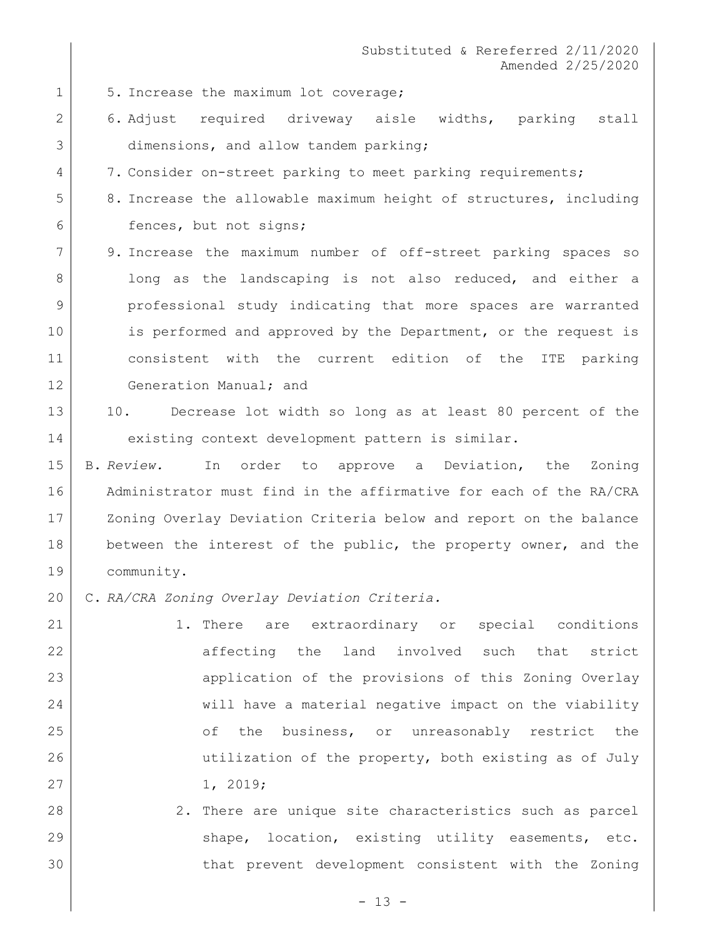- 1 5. Increase the maximum lot coverage;
- 2 6. Adjust required driveway aisle widths, parking stall 3 dimensions, and allow tandem parking;
- 4 7. Consider on-street parking to meet parking requirements;
- 5 8. Increase the allowable maximum height of structures, including 6 fences, but not signs;
- 7 9. Increase the maximum number of off-street parking spaces so 8 | long as the landscaping is not also reduced, and either a 9 professional study indicating that more spaces are warranted 10 is performed and approved by the Department, or the request is 11 consistent with the current edition of the ITE parking 12 Generation Manual; and

# 13 | 10. Decrease lot width so long as at least 80 percent of the 14 existing context development pattern is similar.

15 B. *Review.* In order to approve a Deviation, the Zoning 16 Administrator must find in the affirmative for each of the RA/CRA 17 | Zoning Overlay Deviation Criteria below and report on the balance 18 between the interest of the public, the property owner, and the 19 community.

- 20 C. *RA/CRA Zoning Overlay Deviation Criteria.*
- 21 | 1. There are extraordinary or special conditions 22 affecting the land involved such that strict 23 application of the provisions of this Zoning Overlay 24 will have a material negative impact on the viability 25 of the business, or unreasonably restrict the 26 utilization of the property, both existing as of July 27 1, 2019;
- 28 2. There are unique site characteristics such as parcel 29 Shape, location, existing utility easements, etc. 30 that prevent development consistent with the Zoning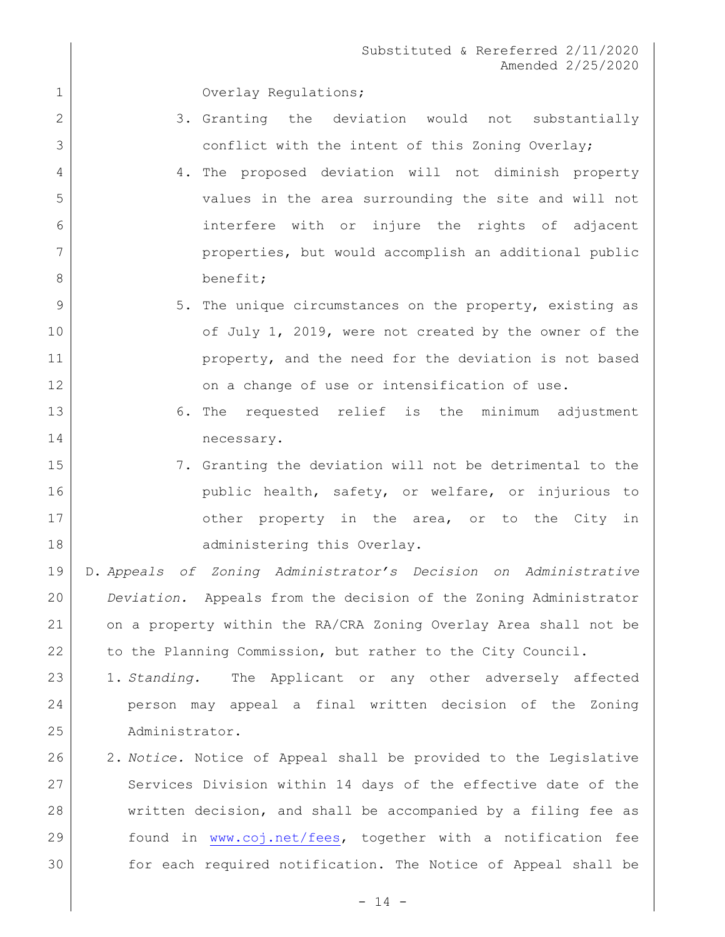1 Overlay Regulations;

- 2 3. Granting the deviation would not substantially 3 conflict with the intent of this Zoning Overlay;
- 4 4. The proposed deviation will not diminish property 5 values in the area surrounding the site and will not 6 interfere with or injure the rights of adjacent 7 properties, but would accomplish an additional public 8 benefit;
- 9 5. The unique circumstances on the property, existing as 10 of July 1, 2019, were not created by the owner of the 11 **property, and the need for the deviation is not based** 12 | Con a change of use or intensification of use.
- 13 6. The requested relief is the minimum adjustment 14 necessary.
- 15 7. Granting the deviation will not be detrimental to the 16 can bublic health, safety, or welfare, or injurious to 17 cher property in the area, or to the City in 18 administering this Overlay.

 D. *Appeals of Zoning Administrator's Decision on Administrative Deviation.* Appeals from the decision of the Zoning Administrator on a property within the RA/CRA Zoning Overlay Area shall not be 22 to the Planning Commission, but rather to the City Council.

- 23 1. *Standing.* The Applicant or any other adversely affected 24 person may appeal a final written decision of the Zoning 25 Administrator.
- 26 2. *Notice.* Notice of Appeal shall be provided to the Legislative 27 Services Division within 14 days of the effective date of the 28 written decision, and shall be accompanied by a filing fee as 29 found in [www.coj.net/fees,](http://www.coj.net/fees) together with a notification fee 30 for each required notification. The Notice of Appeal shall be

 $- 14 -$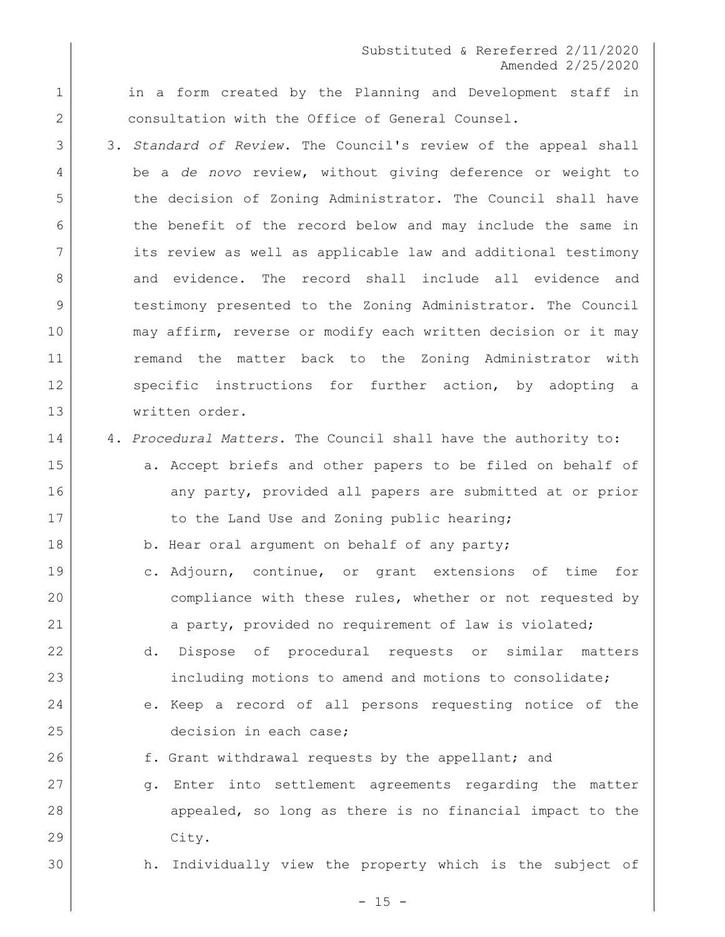1 in a form created by the Planning and Development staff in 2 consultation with the Office of General Counsel.

- 3 3. *Standard of Review*. The Council's review of the appeal shall 4 be a *de novo* review, without giving deference or weight to 5 the decision of Zoning Administrator. The Council shall have 6 the benefit of the record below and may include the same in 7 its review as well as applicable law and additional testimony 8 and evidence. The record shall include all evidence and 9 testimony presented to the Zoning Administrator. The Council 10 may affirm, reverse or modify each written decision or it may 11 remand the matter back to the Zoning Administrator with 12 Specific instructions for further action, by adopting a 13 written order.
- 14 4. *Procedural Matters*. The Council shall have the authority to:
- 15 a. Accept briefs and other papers to be filed on behalf of 16 any party, provided all papers are submitted at or prior 17 to the Land Use and Zoning public hearing;
- 18 b. Hear oral argument on behalf of any party;
- 19 c. Adjourn, continue, or grant extensions of time for 20 | compliance with these rules, whether or not requested by 21 a party, provided no requirement of law is violated;
- 22 d. Dispose of procedural requests or similar matters 23 including motions to amend and motions to consolidate;
- 24 e. Keep a record of all persons requesting notice of the 25 decision in each case;
- 26 f. Grant withdrawal requests by the appellant; and
- 27 g. Enter into settlement agreements regarding the matter 28 appealed, so long as there is no financial impact to the 29 City.
- 30 h. Individually view the property which is the subject of

 $- 15 -$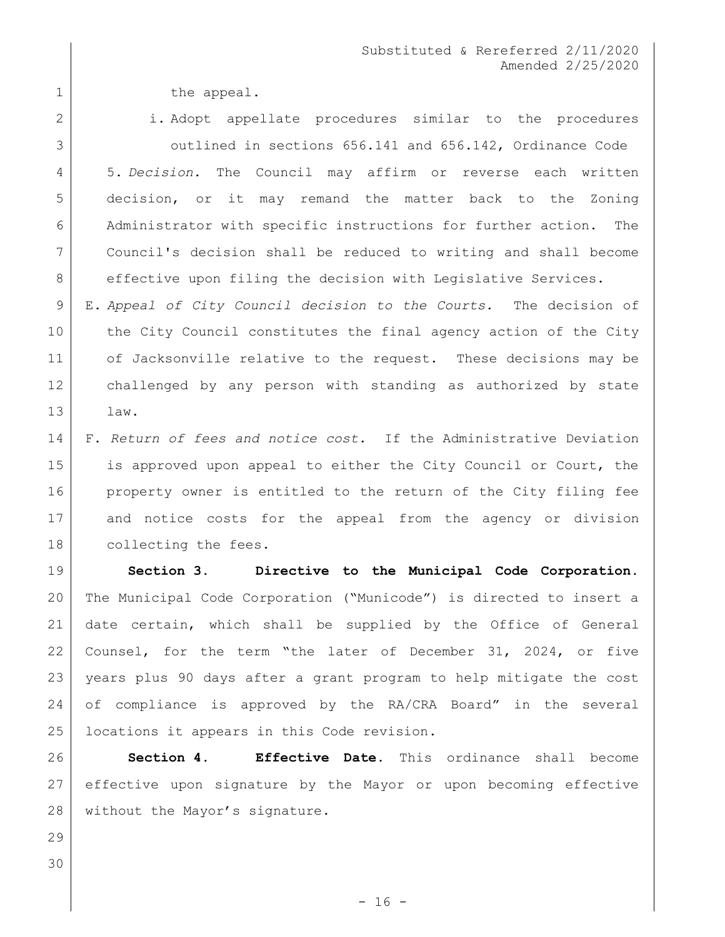1 1 the appeal.

2 | i. Adopt appellate procedures similar to the procedures outlined in sections 656.141 and 656.142, Ordinance Code 5. *Decision.* The Council may affirm or reverse each written decision, or it may remand the matter back to the Zoning Administrator with specific instructions for further action. The Council's decision shall be reduced to writing and shall become 8 effective upon filing the decision with Legislative Services.

 E. *Appeal of City Council decision to the Courts.* The decision of 10 | the City Council constitutes the final agency action of the City 11 of Jacksonville relative to the request. These decisions may be challenged by any person with standing as authorized by state law.

 F. *Return of fees and notice cost*. If the Administrative Deviation 15 is approved upon appeal to either the City Council or Court, the property owner is entitled to the return of the City filing fee and notice costs for the appeal from the agency or division 18 collecting the fees.

 **Section 3. Directive to the Municipal Code Corporation.**  The Municipal Code Corporation ("Municode") is directed to insert a date certain, which shall be supplied by the Office of General Counsel, for the term "the later of December 31, 2024, or five years plus 90 days after a grant program to help mitigate the cost of compliance is approved by the RA/CRA Board" in the several 25 | locations it appears in this Code revision.

 **Section 4. Effective Date**. This ordinance shall become effective upon signature by the Mayor or upon becoming effective 28 | without the Mayor's signature.